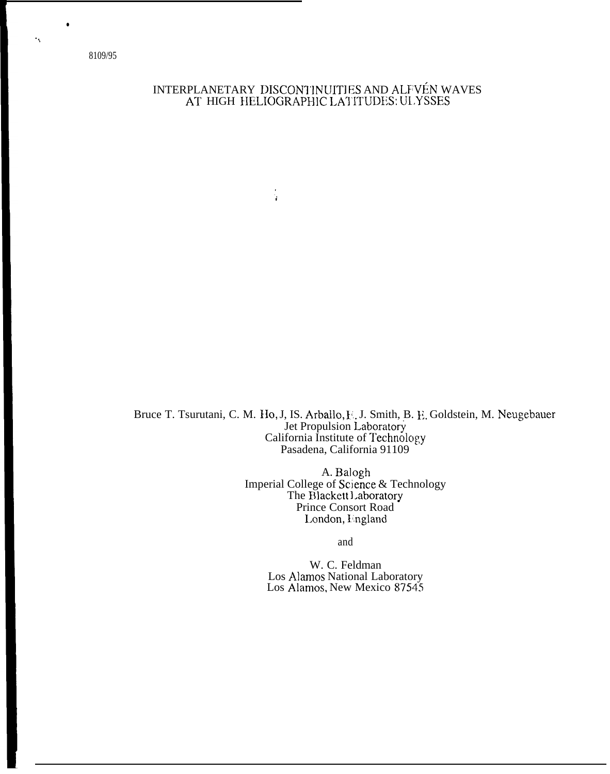8109/95

 $\ddot{\mathbf{r}}$ 

# INTERPLANETARY DISCONTINUITIES AND ALFVÉN WAVES AT HIGH HELIOGRAPHIC LATITUDES: ULYSSES

Ŷ.

Bruce T. Tsurutani, C. M. Ho, J, IS. Arballo, F. J. Smith, B. E. Goldstein, M. Neugebauer<br>Jet Propulsion Laboratory California Institute of Technology Pasadena, California 91109

> A. Balogh<br>Imperial College of Science & Technology<br>The Blackett Laboratory Prince Consort Road London, England

> > and

W. C. Feldman Los Alamos National Laboratory Los Alamos, New Mexico 87545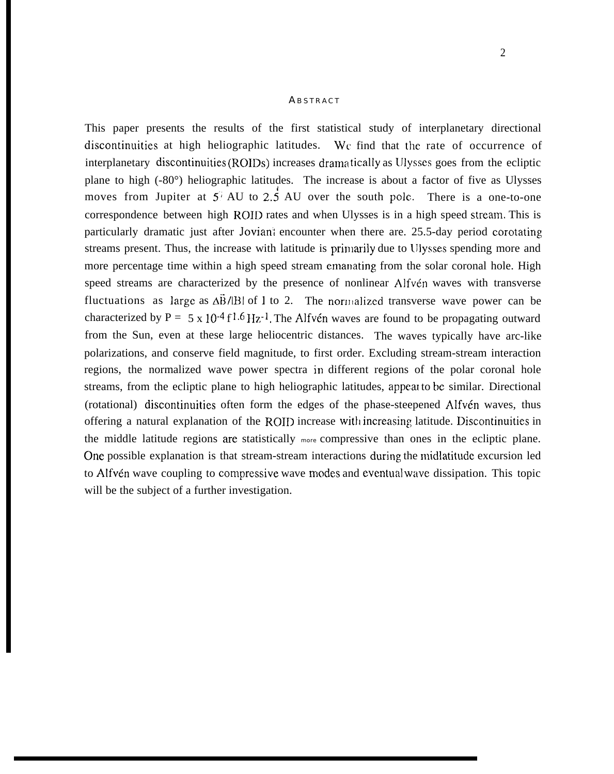#### **ABSTRACT**

This paper presents the results of the first statistical study of interplanetary directional discontinuities at high heliographic latitudes. Wc find that the rate of occurrence of interplanetary discontinuities (ROIDs) increases dramatically as Ulysses goes from the ecliptic plane to high (-80°) heliographic latitudes. The increase is about a factor of five as Ulysses moves from Jupiter at  $5^{\circ}$  AU to 2.5 AU over the south pole. There is a one-to-one correspondence between high ROID rates and when Ulysses is in a high speed stream. This is particularly dramatic just after Jovian; encounter when there are. 25.5-day period corotating streams present. Thus, the increase with latitude is primarily due to Ulysses spending more and more percentage time within a high speed stream emanating from the solar coronal hole. High speed streams are characterized by the presence of nonlinear Alfvén waves with transverse fluctuations as large as  $\Delta \vec{B}/|B|$  of 1 to 2. The normalized transverse wave power can be characterized by P = 5 x 10<sup>-4</sup> f<sup>1.6</sup> Hz<sup>-1</sup>. The Alfvén waves are found to be propagating outward from the Sun, even at these large heliocentric distances. The waves typically have arc-like polarizations, and conserve field magnitude, to first order. Excluding stream-stream interaction regions, the normalized wave power spectra in different regions of the polar coronal hole streams, from the ecliptic plane to high heliographic latitudes, appear to be similar. Directional (rotational) discontinuities often form the edges of the phase-steepened Alfvén waves, thus offering a natural explanation of the ROID increase with increasing latitude. Discontinuities in the middle latitude regions are statistically more compressive than ones in the ecliptic plane. One possible explanation is that stream-stream interactions during the midlatitude excursion led to Alfvén wave coupling to compressive wave modes and eventual wave dissipation. This topic will be the subject of a further investigation.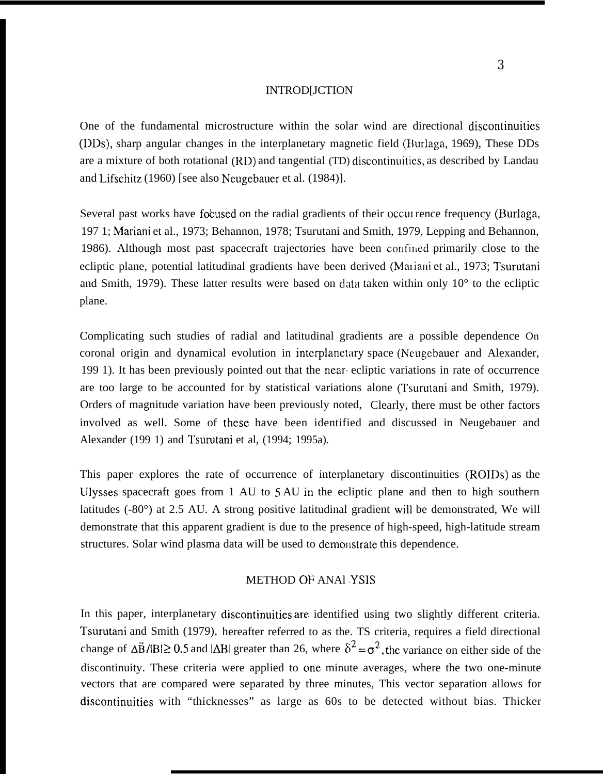#### INTROD[JCTION

One of the fundamental microstructure within the solar wind are directional discontinuities (DDs), sharp angular changes in the interplanetary magnetic field (Burlaga, 1969). These DDs are a mixture of both rotational (RD) and tangential (TD) discontinuitics, as described by Landau and Lifschitz (1960) [see also Neugebauer et al. (1984)].

Several past works have focused on the radial gradients of their occul rence frequency (Burlaga, 197 1; Mariani et al., 1973; Behannon, 1978; Tsurutani and Smith, 1979, Lepping and Behannon, 1986). Although most past spacecraft trajectories have been confined primarily close to the ecliptic plane, potential latitudinal gradients have been derived (Mariani et al., 1973; Tsurutani and Smith, 1979). These latter results were based on data taken within only  $10^{\circ}$  to the ecliptic plane.

Complicating such studies of radial and latitudinal gradients are a possible dependence On coronal origin and dynamical evolution in interplanetary space (Neugebauer and Alexander, 199 1). It has been previously pointed out that the near. ecliptic variations in rate of occurrence are too large to be accounted for by statistical variations alone (Tsurutani and Smith, 1979). Orders of magnitude variation have been previously noted, Clearly, there must be other factors involved as well. Some of these have been identified and discussed in Neugebauer and Alexander (199 1) and Tsurutani et al, (1994; 1995a).

This paper explores the rate of occurrence of interplanetary discontinuities (ROIDS) as the lJlysses spacecraft goes from 1 AU to S AU in the ecliptic plane and then to high southern latitudes (-80°) at 2.5 AU. A strong positive latitudinal gradient will be demonstrated, We will demonstrate that this apparent gradient is due to the presence of high-speed, high-latitude stream structures. Solar wind plasma data will be used to demonstrate this dependence.

### METHOD OF ANAl YSIS

In this paper, interplanetary discontinuities are identified using two slightly different criteria. Tsurutani and Smith (1979), hereafter referred to as the. TS criteria, requires a field directional change of  $\Delta \vec{B}/|B| \ge 0.5$  and  $|\Delta B|$  greater than 26, where  $\delta^2 = \sigma^2$ , the variance on either side of the discontinuity. These criteria were applied to one minute averages, where the two one-minute vectors that are compared were separated by three minutes, This vector separation allows for discontinuities with "thicknesses" as large as 60s to be detected without bias. Thicker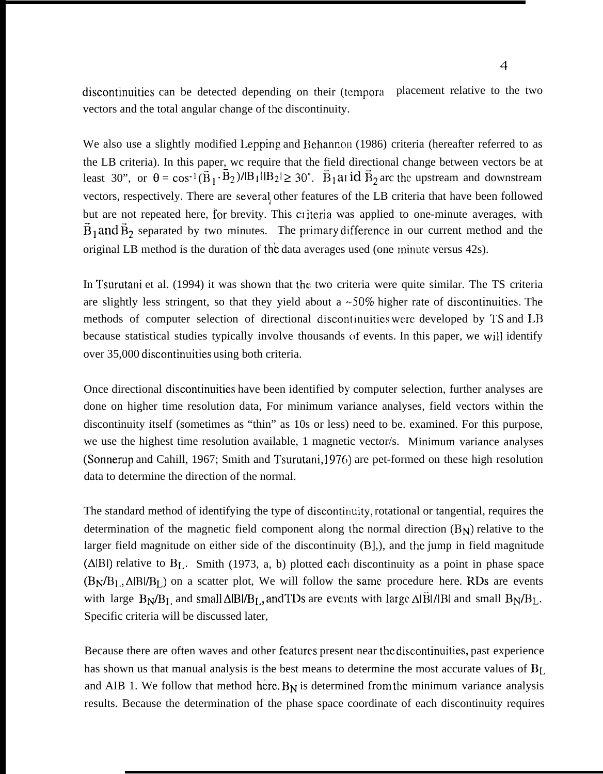discontinuities can be detected depending on their (tcmpora placement relative to the two vectors and the total angular change of the discontinuity.

We also use a slightly modified Lepping and Behannon (1986) criteria (hereafter referred to as the LB criteria). In this paper, wc require that the field directional change between vectors be at least 30", or  $\theta = \cos^{-1}(\vec{B}_1 \cdot \vec{B}_2)/|B_1||B_2| \ge 30^\circ$ .  $\vec{B}_1$  all  $\vec{B}_2$  arc the upstream and downstream vectors, respectively. There are several other features of the LB criteria that have been followed but are not repeated here, for brevity. This criteria was applied to one-minute averages, with  $\vec{B}_1$  and  $\vec{B}_2$  separated by two minutes. The primary difference in our current method and the original LB method is the duration of the data averages used (one minute versus 42s).

In Tsurutani et al. (1994) it was shown that the two criteria were quite similar. The TS criteria are slightly less stringent, so that they yield about a  $\sim$  50% higher rate of discontinuities. The methods of computer selection of directional discontinuities were developed by TS and LB because statistical studies typically involve thousands of events. In this paper, we will identify over 35,000 discontinuities using both criteria.

Once directional discontinuities have been identified by computer selection, further analyses are done on higher time resolution data, For minimum variance analyses, field vectors within the discontinuity itself (sometimes as "thin" as 10s or less) need to be. examined. For this purpose, we use the highest time resolution available, 1 magnetic vector/s. Minimum variance analyses (Sonnerup and Cahill, 1967; Smith and Tsurutani, 1976) are pet-formed on these high resolution data to determine the direction of the normal.

The standard method of identifying the type of discontinuity, rotational or tangential, requires the determination of the magnetic field component along the normal direction  $(B_N)$  relative to the larger field magnitude on either side of the discontinuity (B],), and the jump in field magnitude ( $\triangle$ IBI) relative to B<sub>L</sub>. Smith (1973, a, b) plotted each discontinuity as a point in phase space  $(B_N/B_L, \Delta|B|/B_L)$  on a scatter plot, We will follow the same procedure here. RDs are events with large  $B_N/B_L$  and small  $\Delta|B|/B_L$ , and TDs are events with large  $\Delta|\vec{B}|/|B|$  and small  $B_N/B_L$ . Specific criteria will be discussed later,

Because there are often waves and other features present near the discontinuities, past experience has shown us that manual analysis is the best means to determine the most accurate values of B<sub>L</sub> and AIB 1. We follow that method here.  $B_N$  is determined from the minimum variance analysis results. Because the determination of the phase space coordinate of each discontinuity requires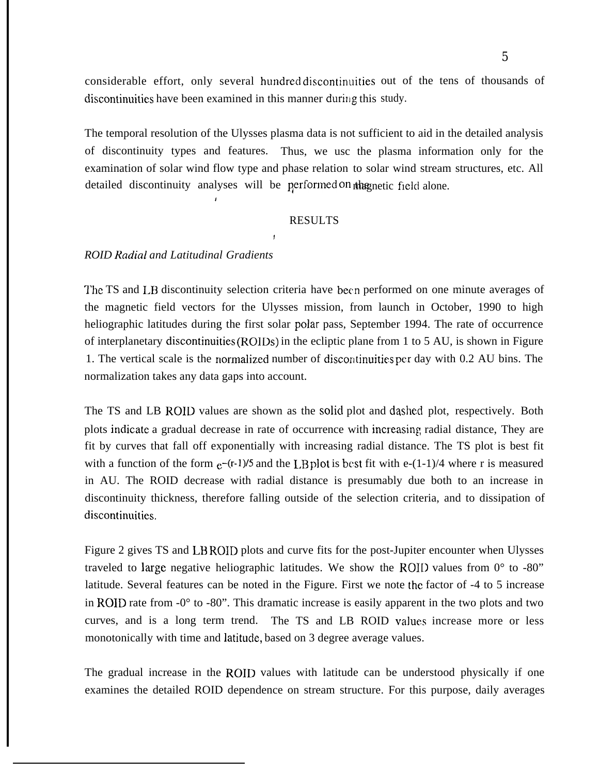considerable effort, only several hundred discontinuities out of the tens of thousands of discontinuities have been examined in this manner during this study.

The temporal resolution of the Ulysses plasma data is not sufficient to aid in the detailed analysis of discontinuity types and features. Thus, we usc the plasma information only for the examination of solar wind flow type and phase relation to solar wind stream structures, etc. All detailed discontinuity analyses will be performed on the gnetic field alone.

#### RESULTS

!

#### *ROID Radial and Latitudinal Gradients*

!

The TS and I.B discontinuity selection criteria have been performed on one minute averages of the magnetic field vectors for the Ulysses mission, from launch in October, 1990 to high heliographic latitudes during the first solar polar pass, September 1994. The rate of occurrence of interplanetary discontinuities (ROIDs) in the ecliptic plane from 1 to 5 AU, is shown in Figure 1. The vertical scale is the normalized number of discontinuities per day with 0.2 AU bins. The normalization takes any data gaps into account.

The TS and LB ROID values are shown as the solid plot and dashed plot, respectively. Both plots indicate a gradual decrease in rate of occurrence with increasing radial distance, They are fit by curves that fall off exponentially with increasing radial distance. The TS plot is best fit with a function of the form  $e^{-(r-1)/5}$  and the LB plot is best fit with e-(1-1)/4 where r is measured in AU. The ROID decrease with radial distance is presumably due both to an increase in discontinuity thickness, therefore falling outside of the selection criteria, and to dissipation of discontinuities.

Figure 2 gives TS and LB ROID plots and curve fits for the post-Jupiter encounter when Ulysses traveled to large negative heliographic latitudes. We show the ROII) values from  $0^{\circ}$  to -80" latitude. Several features can be noted in the Figure. First we note the factor of -4 to 5 increase in ROID rate from -0° to -80". This dramatic increase is easily apparent in the two plots and two curves, and is a long term trend. The TS and LB ROID values increase more or less monotonically with time and latitude, based on 3 degree average values.

The gradual increase in the ROID values with latitude can be understood physically if one examines the detailed ROID dependence on stream structure. For this purpose, daily averages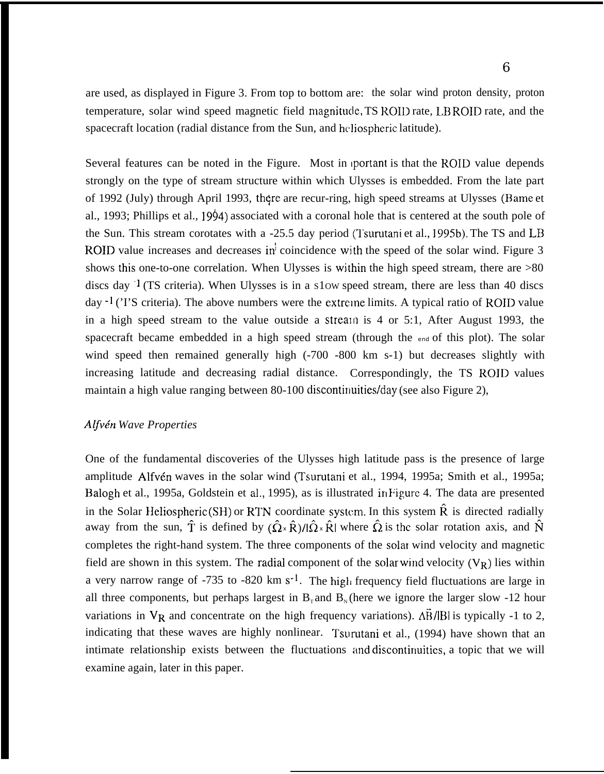are used, as displayed in Figure 3. From top to bottom are: the solar wind proton density, proton temperature, solar wind speed magnetic field magnitude, TS ROID rate, LB ROID rate, and the spacecraft location (radial distance from the Sun, and heliospheric latitude).

Several features can be noted in the Figure. Most in portant is that the ROID value depends strongly on the type of stream structure within which Ulysses is embedded. From the late part of 1992 (July) through April 1993, there are recur-ring, high speed streams at Ulysses (Bame et al., 1993; Phillips et al., 1994) associated with a coronal hole that is centered at the south pole of the Sun. This stream corotates with a -25.5 day period (Tsurutani et al., 1995b). The TS and LB ROID value increases and decreases in<sup>j</sup> coincidence with the speed of the solar wind. Figure 3 shows this one-to-one correlation. When Ulysses is within the high speed stream, there are  $>80$ discs day  $1$  (TS criteria). When Ulysses is in a s1ow speed stream, there are less than 40 discs day  $\cdot$ <sup>1</sup> ('I'S criteria). The above numbers were the extreme limits. A typical ratio of ROID value in a high speed stream to the value outside a stream is 4 or 5:1, After August 1993, the spacecraft became embedded in a high speed stream (through the end of this plot). The solar wind speed then remained generally high (-700 -800 km s-1) but decreases slightly with increasing latitude and decreasing radial distance. Correspondingly, the TS ROID values maintain a high value ranging between  $80-100$  discontinuities/day (see also Figure 2),

### *Aljv& Wave Properties*

One of the fundamental discoveries of the Ulysses high latitude pass is the presence of large amplitude Alfvén waves in the solar wind (Tsurutani et al., 1994, 1995a; Smith et al., 1995a; Balogh et al., 1995a, Goldstein et al., 1995), as is illustrated in Figure 4. The data are presented in the Solar Heliospheric (SH) or RTN coordinate system. In this system  $\hat{R}$  is directed radially away from the sun,  $\hat{T}$  is defined by  $(\hat{\Omega} \times \hat{R})/|\hat{\Omega} \times \hat{R}|$  where  $\hat{\Omega}$  is the solar rotation axis, and  $\hat{N}$ completes the right-hand system. The three components of the solar wind velocity and magnetic field are shown in this system. The radial component of the solar wind velocity  $(V_R)$  lies within a very narrow range of -735 to -820 km s<sup>-1</sup>. The high frequency field fluctuations are large in all three components, but perhaps largest in  $B<sub>r</sub>$  and  $B<sub>N</sub>$  (here we ignore the larger slow -12 hour variations in  $V_R$  and concentrate on the high frequency variations).  $\Delta \vec{B}/|B|$  is typically -1 to 2, indicating that these waves are highly nonlinear. Tsurutani et al., (1994) have shown that an intimate relationship exists between the fluctuations and discontinuities, a topic that we will examine again, later in this paper.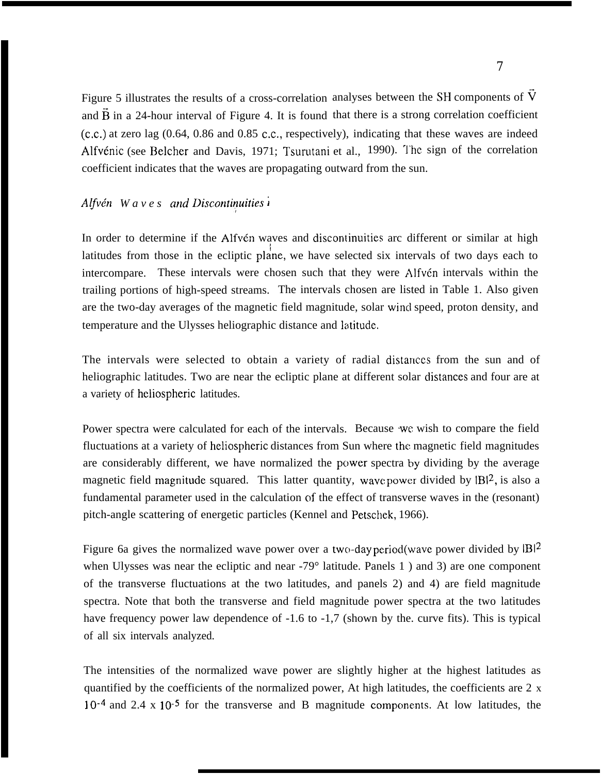Figure 5 illustrates the results of a cross-correlation analyses between the SH components of  $\tilde{V}$ and  $\overline{B}$  in a 24-hour interval of Figure 4. It is found that there is a strong correlation coefficient (c.c.) at zero lag (0.64, 0.86 and 0.85 c.c., respectively), indicating that these waves are indeed Alfvénic (see Belcher and Davis, 1971; Tsurutani et al., 1990). The sign of the correlation coefficient indicates that the waves are propagating outward from the sun.

## *Alfvén Waves* and *Discontinuities i*

In order to determine if the Alfvén waves and discontinuities arc different or similar at high latitudes from those in the ecliptic plane, we have selected six intervals of two days each to intercompare. These intervals were chosen such that they were Alfvén intervals within the trailing portions of high-speed streams. The intervals chosen are listed in Table 1. Also given are the two-day averages of the magnetic field magnitude, solar wincl speed, proton density, and temperature and the Ulysses heliographic distance and latitude.

The intervals were selected to obtain a variety of radial distances from the sun and of heliographic latitudes. Two are near the ecliptic plane at different solar distances and four are at a variety of hcliospheric latitudes.

Power spectra were calculated for each of the intervals. Because we wish to compare the field fluctuations at a variety of heliospheric distances from Sun where the magnetic field magnitudes are considerably different, we have normalized the power spectra by dividing by the average magnetic field magnitude squared. This latter quantity, wave power divided by  $|B|^2$ , is also a fundamental parameter used in the calculation of the effect of transverse waves in the (resonant) pitch-angle scattering of energetic particles (Kennel and Petschek, 1966).

Figure 6a gives the normalized wave power over a two-day period(wave power divided by  $|B|^2$ when Ulysses was near the ecliptic and near -79° latitude. Panels 1) and 3) are one component of the transverse fluctuations at the two latitudes, and panels 2) and 4) are field magnitude spectra. Note that both the transverse and field magnitude power spectra at the two latitudes have frequency power law dependence of -1.6 to -1,7 (shown by the. curve fits). This is typical of all six intervals analyzed.

The intensities of the normalized wave power are slightly higher at the highest latitudes as quantified by the coefficients of the normalized power, At high latitudes, the coefficients are 2 x  $10^{-4}$  and 2.4 x  $10^{-5}$  for the transverse and B magnitude components. At low latitudes, the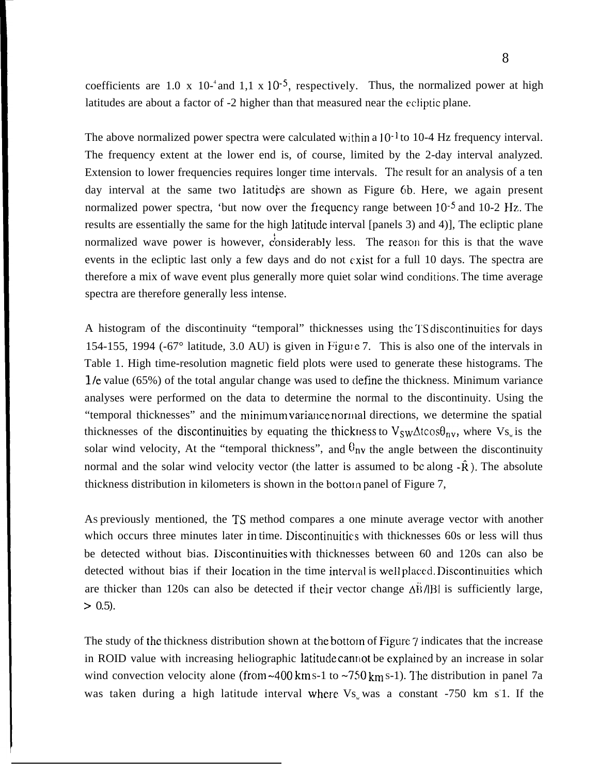coefficients are 1.0 x 10<sup>-4</sup> and 1,1 x 10<sup>-5</sup>, respectively. Thus, the normalized power at high latitudes are about a factor of -2 higher than that measured near the ecliptic plane.

The above normalized power spectra were calculated within a  $10^{-1}$  to 10-4 Hz frequency interval. The frequency extent at the lower end is, of course, limited by the 2-day interval analyzed. Extension to lower frequencies requires longer time intervals. The result for an analysis of a ten day interval at the same two latitudes are shown as Figure 6b. Here, we again present normalized power spectra, 'but now over the frequency range between  $10^{-5}$  and  $10^{-2}$  Hz. The results are essentially the same for the high latitude interval [panels 3) and 4)]. The ecliptic plane normalized wave power is however, considerably less. The reason for this is that the wave events in the ecliptic last only a few days and do not exist for a full 10 days. The spectra are therefore a mix of wave event plus generally more quiet solar wind conditions. The time average spectra are therefore generally less intense.

A histogram of the discontinuity "temporal" thicknesses using the TS discontinuities for days 154-155, 1994 (-67° latitude, 3.0 AU) is given in Figule 7. This is also one of the intervals in Table 1. High time-resolution magnetic field plots were used to generate these histograms. The I/e value (65%) of the total angular change was used to define the thickness. Minimum variance analyses were performed on the data to determine the normal to the discontinuity. Using the "temporal thicknesses" and the minimum variance normal directions, we determine the spatial thicknesses of the discontinuities by equating the thickness to  $V_{SW}\Delta t \cos\theta_{nv}$ , where  $V_{S_w}$  is the solar wind velocity, At the "temporal thickness", and  $\theta_{nv}$  the angle between the discontinuity normal and the solar wind velocity vector (the latter is assumed to be along  $-\hat{R}$ ). The absolute thickness distribution in kilometers is shown in the bottom panel of Figure 7,

AS previously mentioned, the TS method compares a one minute average vector with another which occurs three minutes later in time. Discontinuities with thicknesses 60s or less will thus be detected without bias. I)iscontinuities with thicknesses between 60 and 120s can also be detected without bias if their location in the time interval is well placed. Discontinuities which are thicker than 120s can also be detected if their vector change  $\Delta \vec{B}/|B|$  is sufficiently large,  $> 0.5$ ).

The study of the thickness distribution shown at the bottom of Figure  $\gamma$  indicates that the increase in ROID value with increasing heliographic latitude cannot be explained by an increase in solar wind convection velocity alone (from  $\sim$  400 km s-1 to  $\sim$  750 km s-1). The distribution in panel 7a was taken during a high latitude interval where  $Vs<sub>w</sub>$  was a constant -750 km s<sup>1</sup>. If the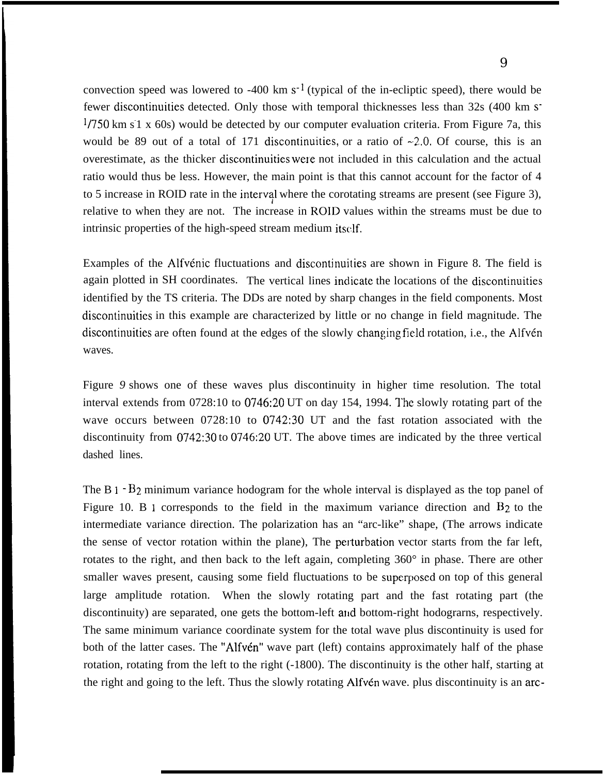convection speed was lowered to -400 km  $s^{-1}$  (typical of the in-ecliptic speed), there would be fewer discontinuities detected. Only those with temporal thicknesses less than 32s (400 km S- $1/750$  km s $1 \times 60$ s) would be detected by our computer evaluation criteria. From Figure 7a, this would be 89 out of a total of 171 discontinuities, or a ratio of  $-2.0$ . Of course, this is an overestimate, as the thicker discontinuities were not included in this calculation and the actual ratio would thus be less. However, the main point is that this cannot account for the factor of 4 to 5 increase in ROID rate in the interval where the corotating streams are present (see Figure 3), relative to when they are not. The increase in ROID values within the streams must be due to intrinsic properties of the high-speed stream medium itself.

Examples of the Alfvénic fluctuations and discontinuities are shown in Figure 8. The field is again plotted in SH coordinates. The vertical lines indicate the locations of the discontinuities identified by the TS criteria. The DDs are noted by sharp changes in the field components. Most discontinuities in this example are characterized by little or no change in field magnitude. The discontinuities are often found at the edges of the slowly changing field rotation, i.e., the Alfvén waves.

Figure *9* shows one of these waves plus discontinuity in higher time resolution. The total interval extends from 0728:10 to 0746:20 UT on day 154, 1994. The slowly rotating part of the wave occurs between 0728:10 to 0742:30 UT and the fast rotation associated with the discontinuity from 0742:30 to 0746:20 UT. The above times are indicated by the three vertical dashed lines.

The B 1 - B<sub>2</sub> minimum variance hodogram for the whole interval is displayed as the top panel of Figure 10. B 1 corresponds to the field in the maximum variance direction and  $B_2$  to the intermediate variance direction. The polarization has an "arc-like" shape, (The arrows indicate the sense of vector rotation within the plane). The perturbation vector starts from the far left, rotates to the right, and then back to the left again, completing 360° in phase. There are other smaller waves present, causing some field fluctuations to be superposed on top of this general large amplitude rotation. When the slowly rotating part and the fast rotating part (the discontinuity) are separated, one gets the bottom-left and bottom-right hodograrns, respectively. The same minimum variance coordinate system for the total wave plus discontinuity is used for both of the latter cases. The "Alfvén" wave part (left) contains approximately half of the phase rotation, rotating from the left to the right (-1800). The discontinuity is the other half, starting at the right and going to the left. Thus the slowly rotating Alfvén wave. plus discontinuity is an arc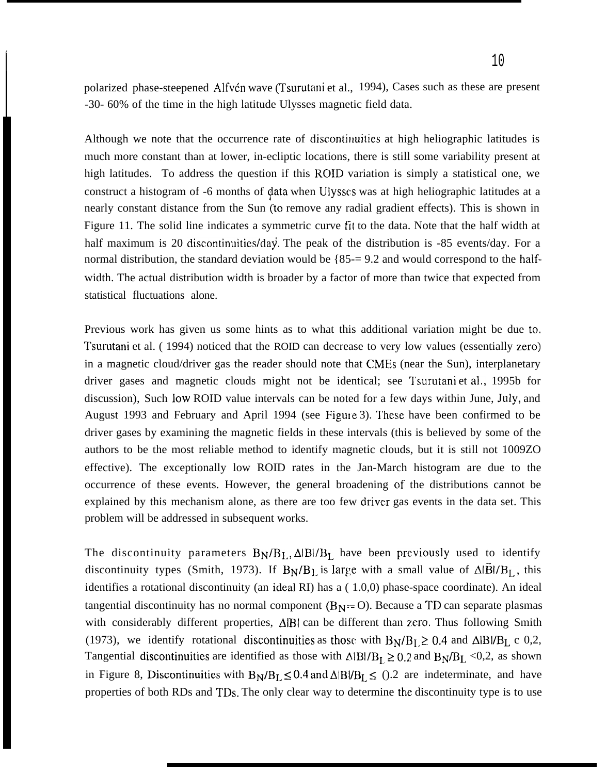polarized phase-steepened Alfvén wave (Tsurutani et al., 1994), Cases such as these are present -30- 60% of the time in the high latitude Ulysses magnetic field data.

Although we note that the occurrence rate of discontinuities at high heliographic latitudes is much more constant than at lower, in-ecliptic locations, there is still some variability present at high latitudes. To address the question if this ROID variation is simply a statistical one, we construct a histogram of -6 months of data when Ulysses was at high heliographic latitudes at a nearly constant distance from the Sun (to remove any radial gradient effects). This is shown in Figure 11. The solid line indicates a symmetric curve fit to the data. Note that the half width at half maximum is 20 discontinuities/day. The peak of the distribution is  $-85$  events/day. For a normal distribution, the standard deviation would be {85-= 9.2 and would correspond to the halfwidth. The actual distribution width is broader by a factor of more than twice that expected from statistical fluctuations alone.

Previous work has given us some hints as to what this additional variation might be due to. Tsurutani et al. ( 1994) noticed that the ROID can decrease to very low values (essentially zero) in a magnetic cloud/driver gas the reader should note that CMES (near the Sun), interplanetary driver gases and magnetic clouds might not be identical; see Tsurutani et al,, 1995b for discussion), Such low ROID value intervals can be noted for a few days within June, July, and August 1993 and February and April 1994 (see Figure 3). These have been confirmed to be driver gases by examining the magnetic fields in these intervals (this is believed by some of the authors to be the most reliable method to identify magnetic clouds, but it is still not 1009ZO effective). The exceptionally low ROID rates in the Jan-March histogram are due to the occurrence of these events. However, the general broadening of the distributions cannot be explained by this mechanism alone, as there are too few driver gas events in the data set. This problem will be addressed in subsequent works.

The discontinuity parameters  $B_N/B_L$ ,  $\Delta|B|/B_L$  have been previously used to identify discontinuity types (Smith, 1973). If  $B_N/B_l$  is large with a small value of  $\Delta \vec{B}I/B_l$ , this identifies a rotational discontinuity (an ideal RI) has a ( 1.0,0) phase-space coordinate). An ideal tangential discontinuity has no normal component ( $B_N = O$ ). Because a TD can separate plasmas with considerably different properties,  $\Delta |B|$  can be different than zero. Thus following Smith (1973), we identify rotational discontinuities as those with  $B_N/B_L \geq 0.4$  and  $\Delta|B|/B_L \subset 0.2$ , Tangential discontinuities are identified as those with  $\triangle |B|/B_L \ge 0.2$  and  $B_N/B_L < 0.2$ , as shown in Figure 8, Discontinuities with  $B_N/B_L \leq 0.4$  and  $\Delta|B|/B_L \leq 0.2$  are indeterminate, and have properties of both RDs and TDs. The only clear way to determine the discontinuity type is to use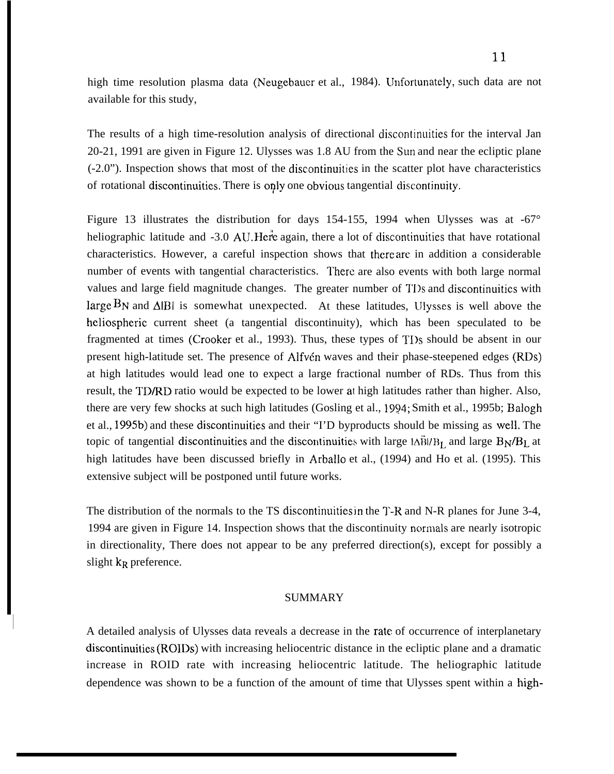high time resolution plasma data (Neugebauer et al., 1984). Unfortunately, such data are not available for this study,

The results of a high time-resolution analysis of directional discontinuities for the interval Jan 20-21, 1991 are given in Figure 12. Ulysses was 1.8 AU from the SLm and near the ecliptic plane (-2.0"). Inspection shows that most of the discontinuities in the scatter plot have characteristics of rotational discontinuities. There is only one obvious tangential discontinuity.

Figure 13 illustrates the distribution for days 154-155, 1994 when Ulysses was at -67° heliographic latitude and -3.0 AU. Here again, there a lot of discontinuities that have rotational characteristics. However, a careful inspection shows that there are. in addition a considerable number of events with tangential characteristics. There are also events with both large normal values and large field magnitude changes. The greater number of TI os and discontinuities with large  $B_N$  and  $\Delta|B|$  is somewhat unexpected. At these latitudes, Ulysses is well above the hcliospheric current sheet (a tangential discontinuity), which has been speculated to be fragmented at times (Crooker et al., 1993). Thus, these types of TI)s should be absent in our present high-latitude set. The presence of Alfvén waves and their phase-steepened edges (RDs) at high latitudes would lead one to expect a large fractional number of RDs. Thus from this result, the TD/RD ratio would be expected to be lower at high latitudes rather than higher. Also, there are very few shocks at such high latitudes (Gosling et al., 1994; Smith et al., 1995b; Balogh et al., 1995b) and these discontinuities and their "I'D byproducts should be missing as well. The topic of tangential discontinuities and the discontinuities with large  $\Delta \vec{B}$ / $B_L$  and large  $B_N/B_L$  at high latitudes have been discussed briefly in Arballo et al., (1994) and Ho et al. (1995). This extensive subject will be postponed until future works.

The distribution of the normals to the TS discontinuities in the T-R and N-R planes for June 3-4, 1994 are given in Figure 14. Inspection shows that the discontinuity ncmnals are nearly isotropic in directionality, There does not appear to be any preferred direction(s), except for possibly a slight  $k_R$  preference.

#### SUMMARY

I

A detailed analysis of Ulysses data reveals a decrease in the rate of occurrence of interplanetary discontinuities (ROIDS) with increasing heliocentric distance in the ecliptic plane and a dramatic increase in ROID rate with increasing heliocentric latitude. The heliographic latitude dependence was shown to be a function of the amount of time that Ulysses spent within a high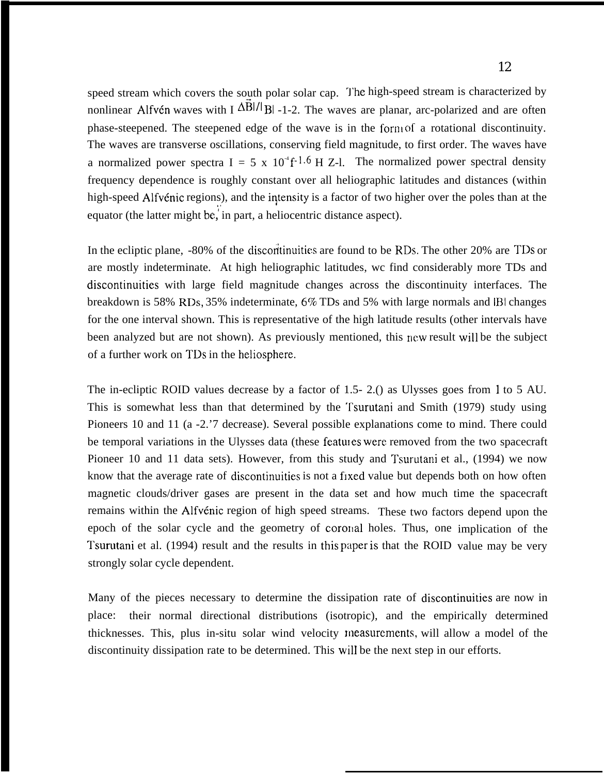speed stream which covers the south polar solar cap. The high-speed stream is characterized by nonlinear Alfvén waves with I  $\Delta$ Bl/l Bl -1-2. The waves are planar, arc-polarized and are often phase-steepened. The steepened edge of the wave is in the form of a rotational discontinuity. The waves are transverse oscillations, conserving field magnitude, to first order. The waves have a normalized power spectra I = 5 x  $10^{4}f^{-1.6}$  H Z-l. The normalized power spectral density frequency dependence is roughly constant over all heliographic latitudes and distances (within high-speed Alfvénic regions), and the intensity is a factor of two higher over the poles than at the ,, equator (the latter might be, in part, a heliocentric distance aspect).

In the ecliptic plane, -80% of the discontinuities are found to be RDs. The other 20% are TDs or are mostly indeterminate. At high heliographic latitudes, wc find considerably more TDs and discontinuities with large field magnitude changes across the discontinuity interfaces. The breakdown is 58% RDs, 35% indeterminate, 6% TDs and 5% with large normals and IBI changes for the one interval shown. This is representative of the high latitude results (other intervals have been analyzed but are not shown). As previously mentioned, this ncw result will be the subject of a further work on TDs in the heliosphere.

The in-ecliptic ROID values decrease by a factor of 1.5- 2.() as Ulysses goes from 1 to 5 AU. This is somewhat less than that determined by the 'rsurutani and Smith (1979) study using Pioneers 10 and 11 (a -2.'7 decrease). Several possible explanations come to mind. There could be temporal variations in the Ulysses data (these featules were removed from the two spacecraft Pioneer 10 and 11 data sets). However, from this study and Tsurutani et al., (1994) we now know that the average rate of discontinuities is not a fixed value but depends both on how often magnetic clouds/driver gases are present in the data set and how much time the spacecraft remains within the Alfvénic region of high speed streams. These two factors depend upon the epoch of the solar cycle and the geometry of coronal holes. Thus, one implication of the Tsurutani et al. (1994) result and the results in this paper is that the ROID value may be very strongly solar cycle dependent.

Many of the pieces necessary to determine the dissipation rate of discontinuities are now in place: their normal directional distributions (isotropic), and the empirically determined thicknesses. This, plus in-situ solar wind velocity measurements, will allow a model of the discontinuity dissipation rate to be determined. This wilI be the next step in our efforts.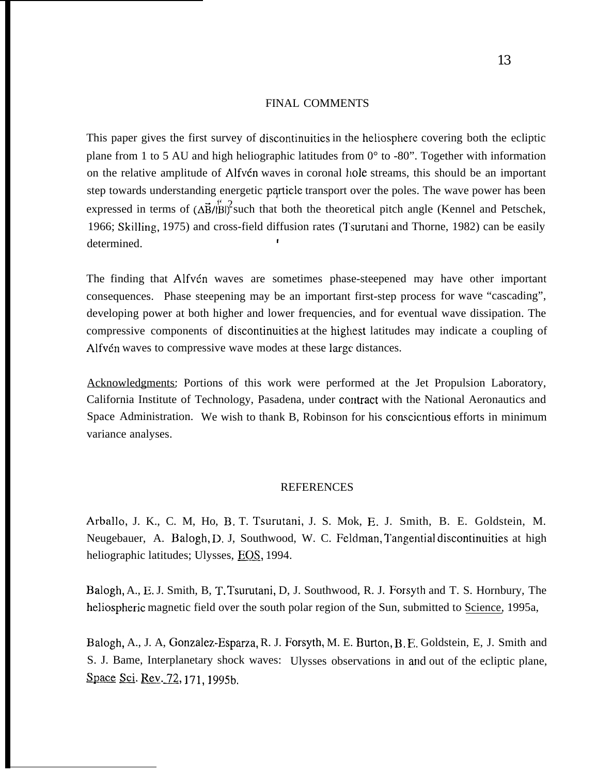#### FINAL COMMENTS

This paper gives the first survey of discontinuities in the heliosphere covering both the ecliptic plane from 1 to 5 AU and high heliographic latitudes from 0° to -80". Together with information on the relative amplitude of Alfvén waves in coronal hole streams, this should be an important step towards understanding energetic particle transport over the poles. The wave power has been expressed in terms of  $(\Delta \vec{B}/\hat{B})^2$  such that both the theoretical pitch angle (Kennel and Petschek, 1966; Skilling, 1975) and cross-field diffusion rates (Tsurutani and Thorne, 1982) can be easily determined.

The finding that Alfvén waves are sometimes phase-steepened may have other important consequences. Phase steepening may be an important first-step process for wave "cascading", developing power at both higher and lower frequencies, and for eventual wave dissipation. The compressive components of discontinuities at the highest latitudes may indicate a coupling of Alfvén waves to compressive wave modes at these large distances.

Acknowledgments: Portions of this work were performed at the Jet Propulsion Laboratory, California Institute of Technology, Pasadena, under contract with the National Aeronautics and Space Administration. We wish to thank B, Robinson for his conscientious efforts in minimum variance analyses.

#### REFERENCES

Arballo, J. K., C. M, Ho, B. T. Tsurutani, J. S. Mok, E. J. Smith, B. E. Goldstein, M. Neugebauer, A. Balogh, D. J, Southwood, W. C. Feldman, Tangential discontinuities at high heliographic latitudes; Ulysses, EOS, 1994.

Balogh, A., E. J. Smith, B, T, Tsurutani, D, J. Southwood, R. J. Forsyth and T. S. Hornbury, The heliospheric magnetic field over the south polar region of the Sun, submitted to Science, 1995a,

Balogh, A., J. A, Gonzalez-Esparza, R. J. Forsyth, M. E. Burton, B. F., Goldstein, E, J. Smith and S. J. Bame, Interplanetary shock waves: Ulysses observations in and out of the ecliptic plane, Balogh, A., J. A, Gonzalez-Esp.<br>S. J. Bame, Interplanetary shoc<br>Space Sci. Rev. 72, 171, 1995b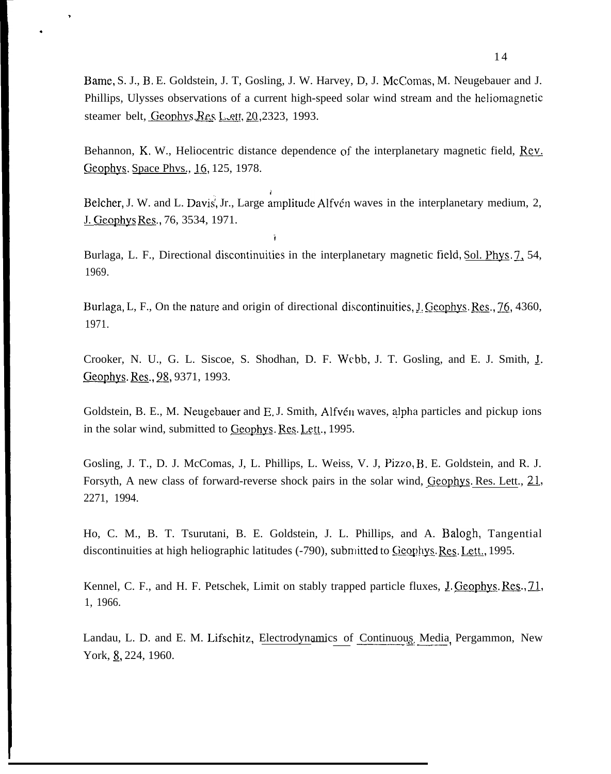Bame, S. J., B, E. Goldstein, J. T, Gosling, J. W. Harvey, D, J. McComas, M. Neugebauer and J. Phillips, Ulysses observations of a current high-speed solar wind stream and the heliomagnetic steamer belt, Geophys. Res L ett, 20, 2323, 1993.

>

.

Behannon, K. W., Heliocentric distance dependence of the interplanetary magnetic field,  $\text{Rev}$ . Geophys. Space Phys., 16, 125, 1978.

Belcher, J. W. and L. Davis, Jr., Large amplitude Alfvén waves in the interplanetary medium, 2, J. Geophys Res., 76, 3534, 1971.

Burlaga, L. F., Directional discontinuities in the interplanetary magnetic field, Sol. Phys. 7, 54, 1969.

i

Burlaga, L, F., On the nature and origin of directional discontinuities, J. Geophys. Res., 76, 4360, 1971.

Crooker, N. U., G. L. Siscoe, S. Shodhan, D. F. Webb, J. T. Gosling, and E. J. Smith, J. Geophys. Res., 98, 9371, 1993.

Goldstein, B. E., M. Neugebauer and E. J. Smith, Alfvén waves, alpha particles and pickup ions in the solar wind, submitted to Geophys. Res. Lett., 1995.

Gosling, J. T., D. J. McComas, J. L. Phillips, L. Weiss, V. J. Pizzo, B. E. Goldstein, and R. J. Forsyth, A new class of forward-reverse shock pairs in the solar wind, Geophys. Res. Lett.,  $21$ , 2271, 1994.

Ho, C. M., B. T. Tsurutani, B. E. Goldstein, J. L. Phillips, and A. Balogh, Tangential discontinuities at high heliographic latitudes (-790), submitted to Geophys. Res. Lett., 1995.

Kennel, C. F., and H. F. Petschek, Limit on stably trapped particle fluxes, J. Geophys. Res., 71, 1, 1966.

Landau, L. D. and E. M. Lifschitz, Electrodynamics of Continuous Media Pergammon, New York, 8, 224, 1960.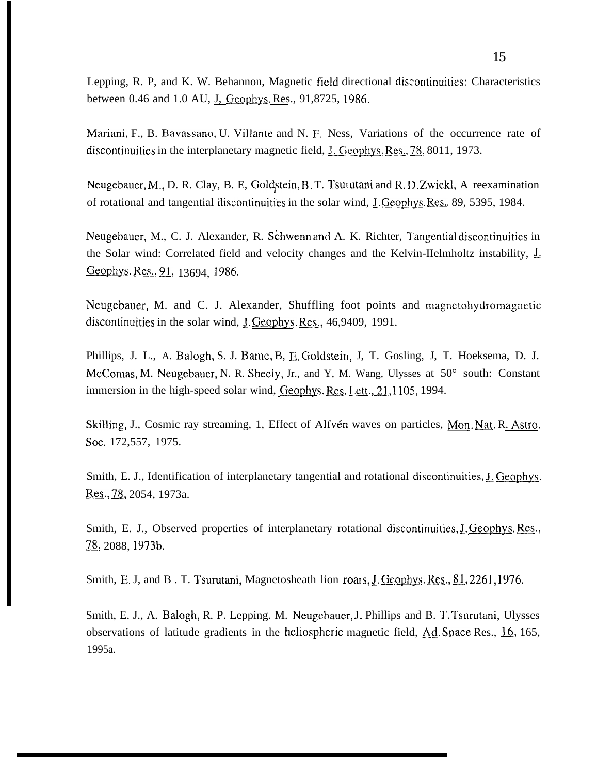Lepping, R. P, and K. W. Behannon, Magnetic field directional discontinuities: Characteristics between 0.46 and 1.0 AU, J, Geophys. Res., 91,8725, 1986.

Mariani, F., B. Bavassano, U. Villante and N. F. Ness, Variations of the occurrence rate of discontinuities in the interplanetary magnetic field,  $I_{\text{L}}$  Geophys. Res.,  $\frac{78}{30}$ , 8011, 1973.

Neugebauer, M., D. R. Clay, B. E, Goldstein, B. T. Tsulutani and R. D. Zwickl, A reexamination of rotational and tangential discontinuities in the solar wind, J. Geophys. Res., 89, 5395, 1984.

Neugebauer, M., C. J. Alexander, R. Schwenn and A. K. Richter, Tangential discontinuities in the Solar wind: Correlated field and velocity changes and the Kelvin-IIelmholtz instability, L Geophys. Res., 91, 13694, 1986.

Neugebauer, M. and C. J. Alexander, Shuffling foot points and magnetohydromagnetic discontinuities in the solar wind, J. Geophys. Res.,  $46,9409$ , 1991.

Phillips, J. L., A. Balogh, S. J. Bame, B, E. Goldstein, J, T. Gosling, J, T. Hoeksema, D. J. McComas, M. Neugebauer, N. R. Sheely, Jr., and Y, M. Wang, Ulysses at 50° south: Constant immersion in the high-speed solar wind,  $Geophys. Res. Let, 21, 1105, 1994.$ 

Skilling, J., Cosmic ray streaming, 1, Effect of Alfvén waves on particles, Mon. Nat. R. Astro. **SOC,** 172,557, 1975.

Smith, E. J., Identification of interplanetary tangential and rotational discontinuities, J. Geophys. Res., 78, 2054, 1973a.

Smith, E. J., Observed properties of interplanetary rotational discontinuities, J. Geophys. Res., 78, 2088, 1973b.

Smith, E. J, and B. T. Tsurutani, Magnetosheath lion roars, J. Geophys. Res., 81, 2261, 1976.

Smith, E. J., A. Balogh, R. P. Lepping. M. Neugcbauer, 1. Phillips and B. T, Tsurutani, Ulysses observations of latitude gradients in the heliospheric magnetic field,  $Ad.$  Space Res.,  $16$ , 165, 1995a.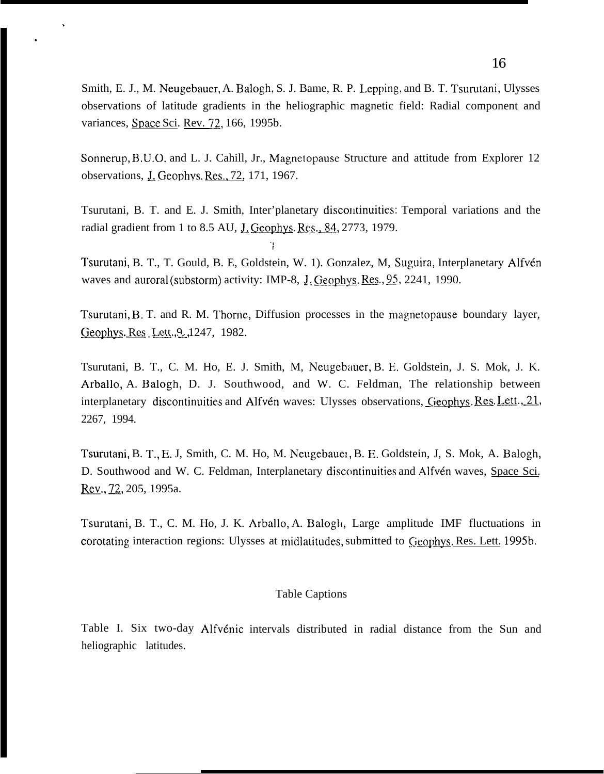Smith, E. J., M. Neugebauer, A. Balogh, S. J. Bame, R. P. Lepping, and B. T. Tsurutani, Ulysses observations of latitude gradients in the heliographic magnetic field: Radial component and variances, Space Sci. Rev. 72, 166, 1995b.

Sonnerup, B.U.O. and L. J. Cahill, Jr., Magnetopause Structure and attitude from Explorer 12 observations, J. Geophys. Res., 72, 171, 1967.

Tsurutani, B. T. and E. J. Smith, Inter'planetary discontinuities: Temporal variations and the radial gradient from 1 to 8.5 AU, J. Geophys. Res., 84, 2773, 1979.

,,1

?

.

Tsurutani, B. T., T. Gould, B. E. Goldstein, W. 1). Gonzalez, M. Suguira, Interplanetary Alfvén waves and auroral (substorm) activity: IMP-8,  $J.$  Geophys. Res.,  $95$ , 2241, 1990.

Tsurutani, B. T. and R. M. Thorne, Diffusion processes in the magnetopause boundary layer, Geophys. Res Lett., 9, 1247, 1982.

Tsurutani, B. T., C. M. Ho, E. J. Smith, M, Neugebauer, B. E. Goldstein, J. S. Mok, J. K. Arballo, A. Balogh, D. J. Southwood, and W. C. Feldman, The relationship between interplanetary discontinuities and Alfvén waves: Ulysses observations, Geophys. Res. Lett., 21, 2267, 1994.

Tsurutani, B. T., E. J, Smith, C. M. Ho, M. Neugebauer, B. E. Goldstein, J, S. Mok, A. Balogh, D. Southwood and W. C. Feldman, Interplanetary discontinuities and Alfvén waves, Space Sci. Rev., 72, 205, 1995a.

Tsurutani, B. T., C. M. Ho, J. K. Arballo, A. Balogh, Large amplitude IMF fluctuations in corotating interaction regions: Ulysses at midlatitudes, submitted to Geophys, Res. Lett. 1995b.

#### Table Captions

Table I. Six two-day Alfvénic intervals distributed in radial distance from the Sun and heliographic latitudes.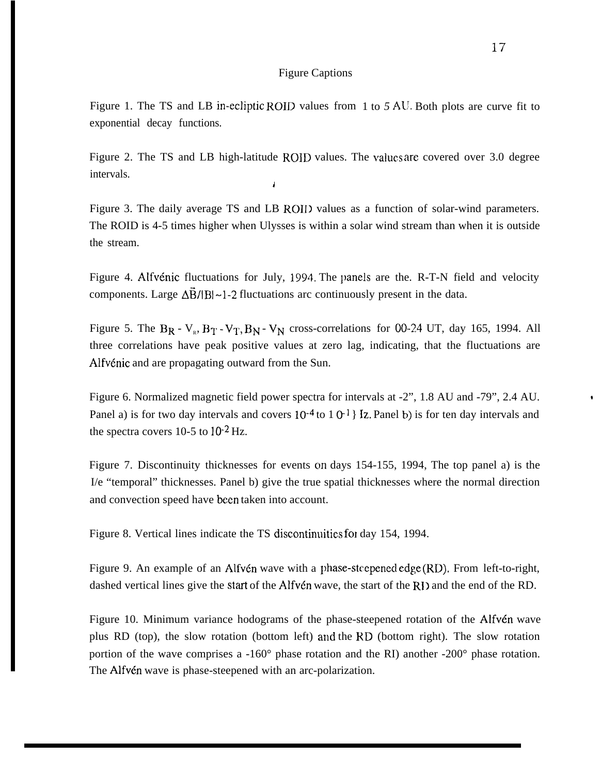#### Figure Captions

Figure 1. The TS and LB in-ecliptic ROID values from 1 to 5 AU. Both plots are curve fit to exponential decay functions.

Figure 2. The TS and LB high-latitude ROID values. The values are covered over 3.0 degree intervals. i

Figure 3. The daily average TS and LB ROII) values as a function of solar-wind parameters. The ROID is 4-5 times higher when Ulysses is within a solar wind stream than when it is outside the stream.

Figure 4. Alfvénic fluctuations for July, 1994. The panels are the. R-T-N field and velocity components. Large  $\Delta \vec{B}/|B| \sim 1$ -2 fluctuations arc continuously present in the data.

Figure 5. The  $B_R$  -  $V_R$ ,  $B_T$  -  $V_T$ ,  $B_N$  -  $V_N$  cross-correlations for 00-24 UT, day 165, 1994. All three correlations have peak positive values at zero lag, indicating, that the fluctuations are Alfv6nic and are propagating outward from the Sun.

Figure 6. Normalized magnetic field power spectra for intervals at -2", 1.8 AU and -79", 2.4 AU. \* Panel a) is for two day intervals and covers  $10^{-4}$  to  $1 \text{ } 0^{-1}$  Iz. Panel b) is for ten day intervals and the spectra covers 10-5 to 10-2 Hz.

Figure 7. Discontinuity thicknesses for events on days 154-155, 1994, The top panel a) is the I/e "temporal" thicknesses. Panel b) give the true spatial thicknesses where the normal direction and convection speed have been taken into account.

Figure 8. Vertical lines indicate the TS discontinuities for day 154, 1994.

Figure 9. An example of an Alfvén wave with a phase-steepened edge (RD). From left-to-right, dashed vertical lines give the start of the Alfv $\epsilon$ n wave, the start of the RI) and the end of the RD.

Figure 10. Minimum variance hodograms of the phase-steepened rotation of the Alfvet wave plus RD (top), the slow rotation (bottom left) and the RD (bottom right). The slow rotation portion of the wave comprises a -160° phase rotation and the RI) another -200° phase rotation. The Alfvén wave is phase-steepened with an arc-polarization.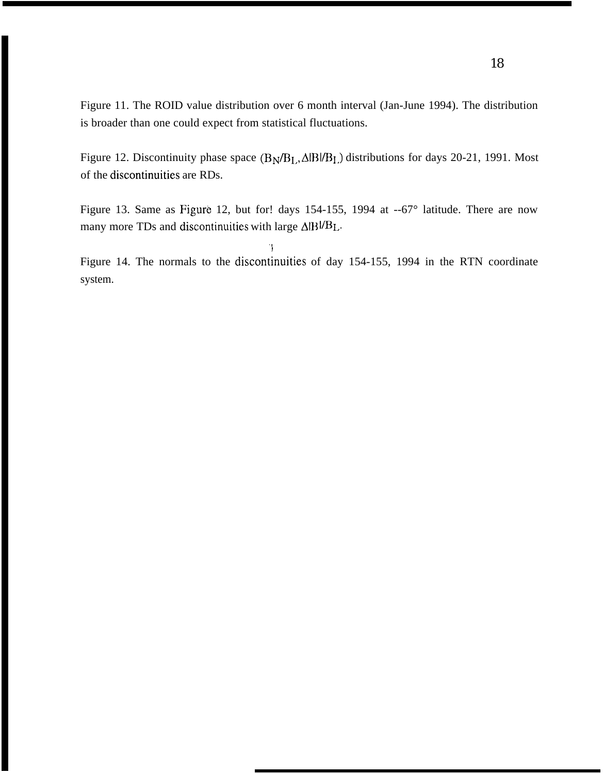Figure 11. The ROID value distribution over 6 month interval (Jan-June 1994). The distribution is broader than one could expect from statistical fluctuations.

Figure 12. Discontinuity phase space  $(B_N/B_L, \Delta \beta I)$  distributions for days 20-21, 1991. Most of the discontinuities are RDs.

Figure 13. Same as Figure 12, but for! days 154-155, 1994 at --67° latitude. There are now many more TDs and discontinuities with large  $\Delta$ IB $|$ /B<sub>L</sub>.

Figure 14. The normals to the discontinuities of day 154-155, 1994 in the RTN coordinate system.

., I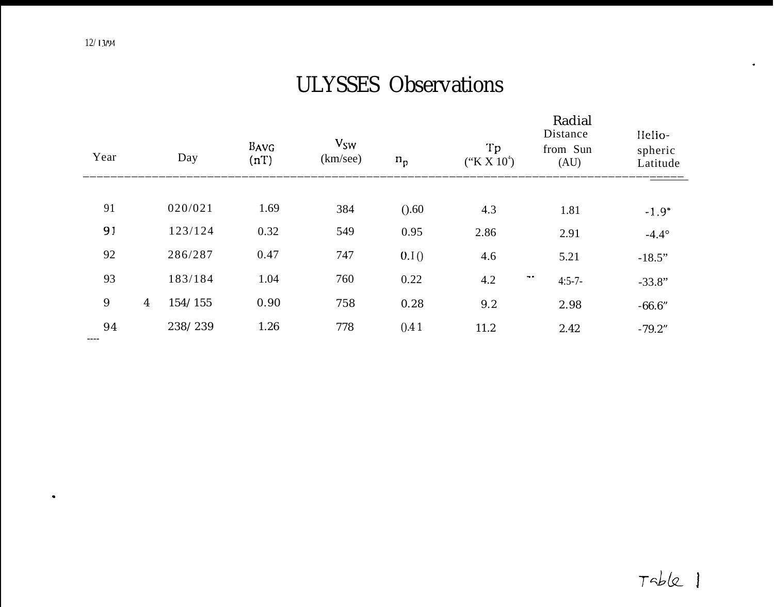.

# ULYSSES Observations

| Year            |                | Day     | BAVG<br>(nT) | $V_{SW}$<br>(km/sec) | $n_{p}$ | Tp<br>$(*K X 10^4)$ | Radial<br>Distance<br>from Sun<br>(AU)    | Helio-<br>spheric<br>Latitude |
|-----------------|----------------|---------|--------------|----------------------|---------|---------------------|-------------------------------------------|-------------------------------|
|                 |                |         |              |                      |         |                     |                                           |                               |
| 91              |                | 020/021 | 1.69         | 384                  | (0.60)  | 4.3                 | 1.81                                      | $-1.9^{\circ}$                |
| 91              |                | 123/124 | 0.32         | 549                  | 0.95    | 2.86                | 2.91                                      | $-4.4^{\circ}$                |
| 92              |                | 286/287 | 0.47         | 747                  | 0.I()   | 4.6                 | 5.21                                      | $-18.5"$                      |
| 93              |                | 183/184 | 1.04         | 760                  | 0.22    | 4.2                 | $\overline{\phantom{m}}$ .<br>$4:5 - 7 -$ | $-33.8"$                      |
| $9\phantom{.0}$ | $\overline{4}$ | 154/155 | 0.90         | 758                  | 0.28    | 9.2                 | 2.98                                      | $-66.6"$                      |
| 94<br>----      |                | 238/239 | 1.26         | 778                  | 0.41    | 11.2                | 2.42                                      | $-79.2"$                      |
|                 |                |         |              |                      |         |                     |                                           |                               |

.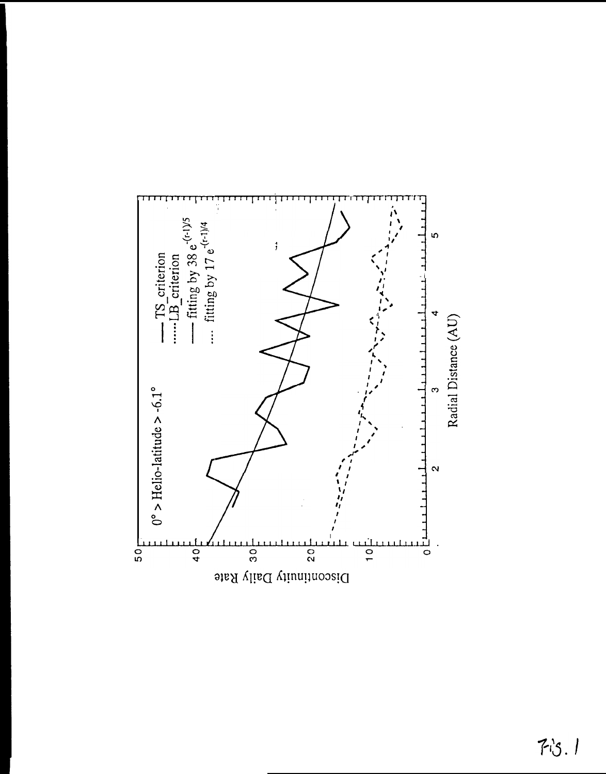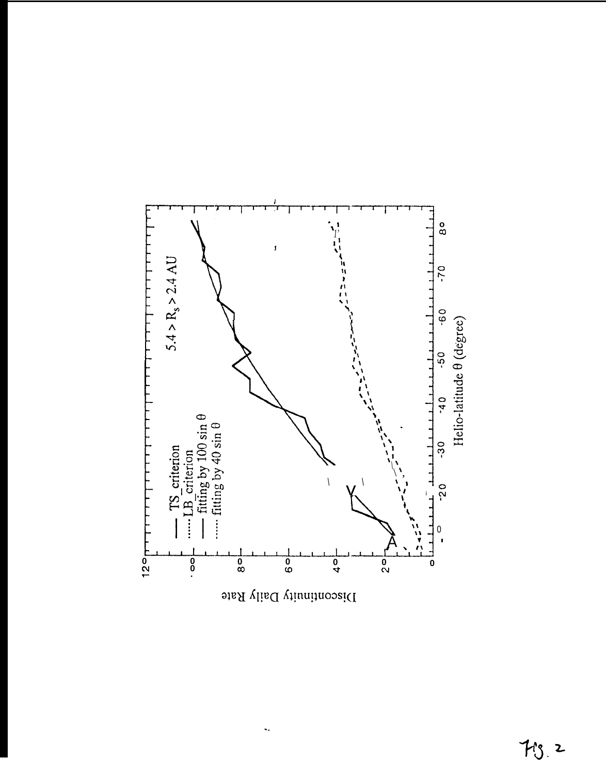

 $\ddot{\bullet}$  .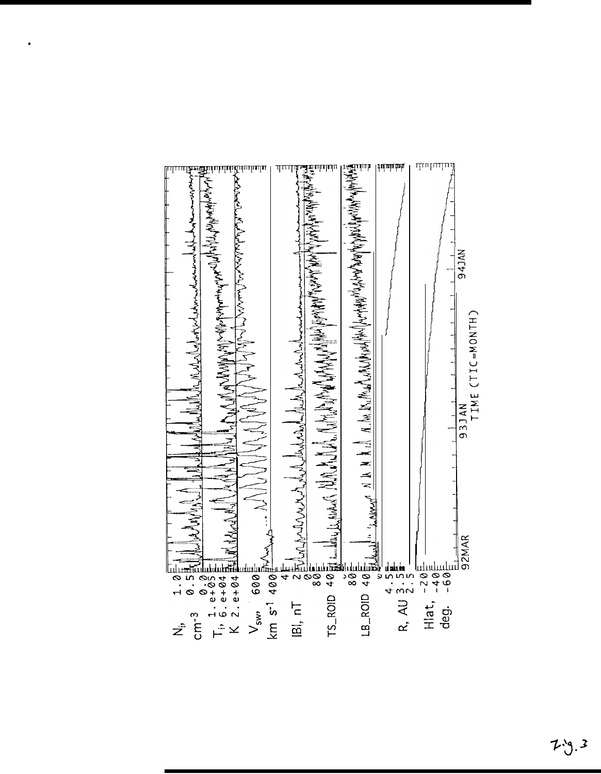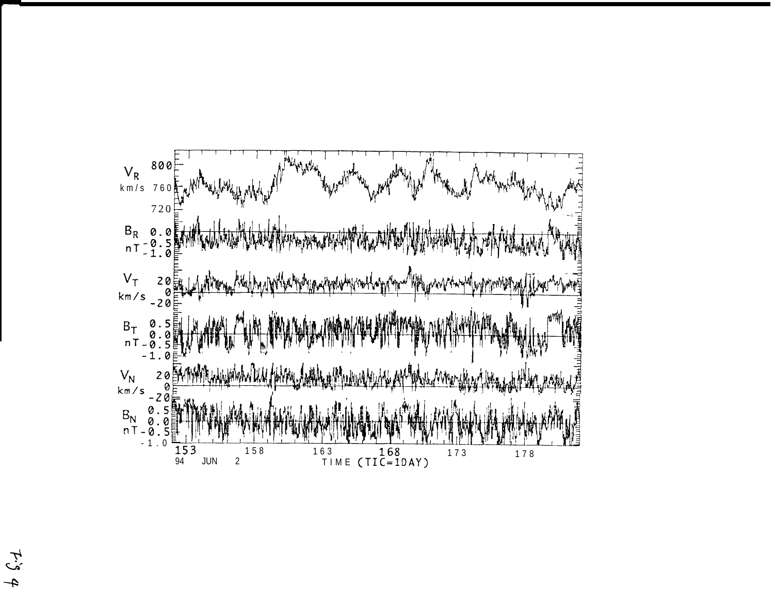

 $\zeta_{\mathcal{I}}$  $\mathbf{f}$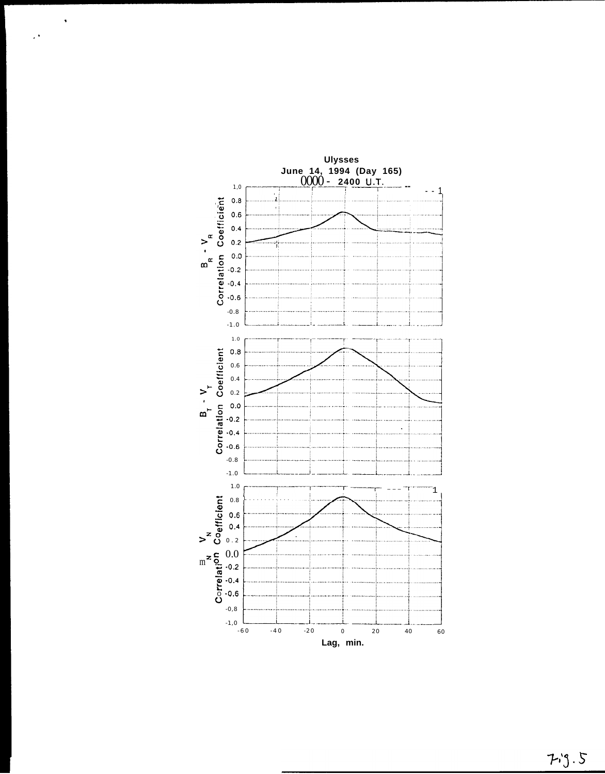

 $\ddot{\phantom{1}}$ 

 $\mathbb{R}^4$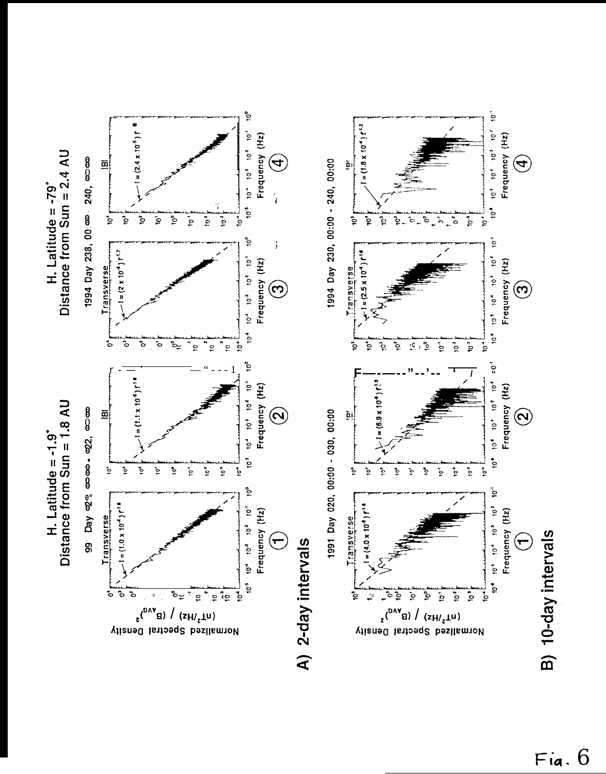



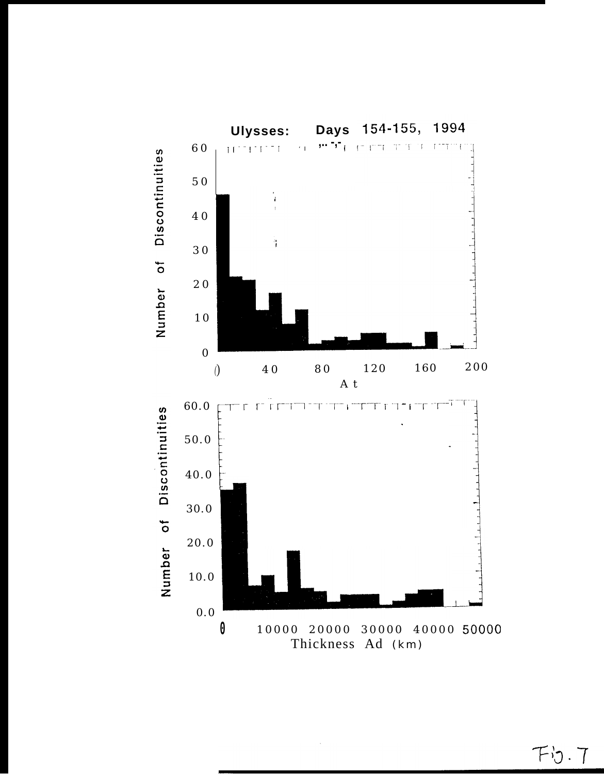

 $Fb.7$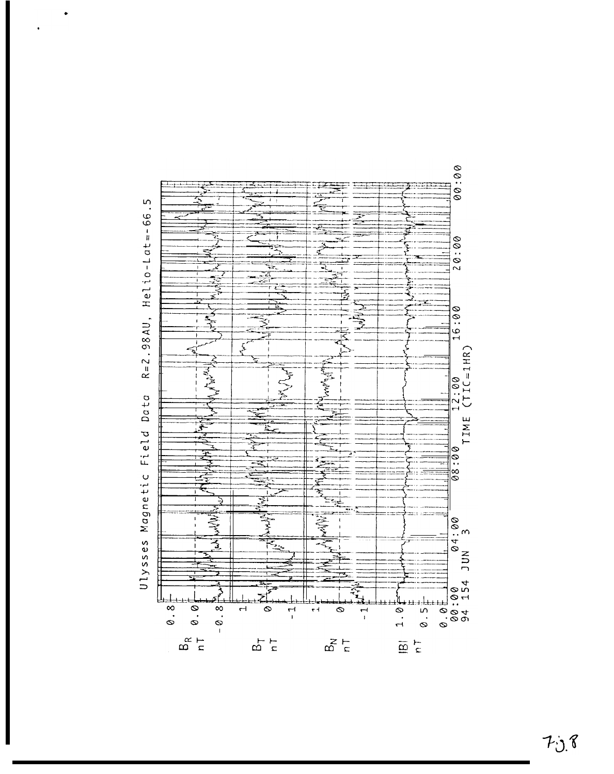

 $70.8$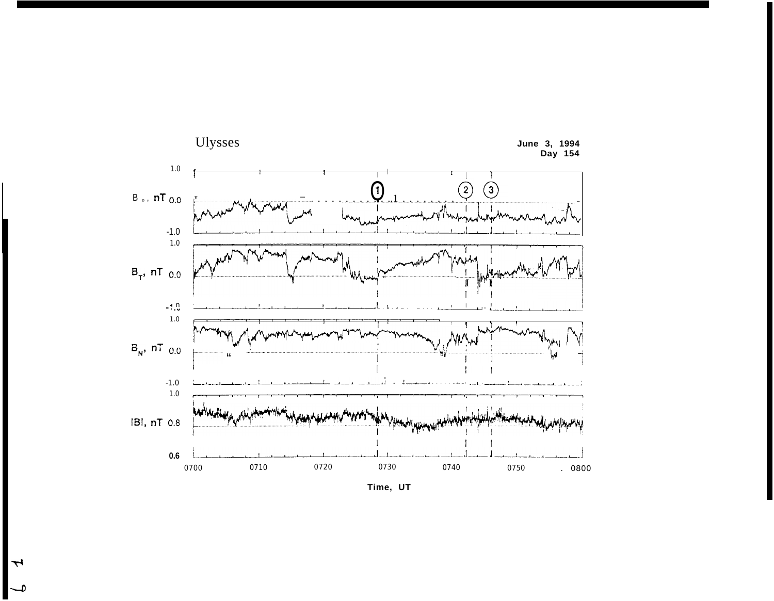

Time, UT

 $\overline{\phantom{a}}$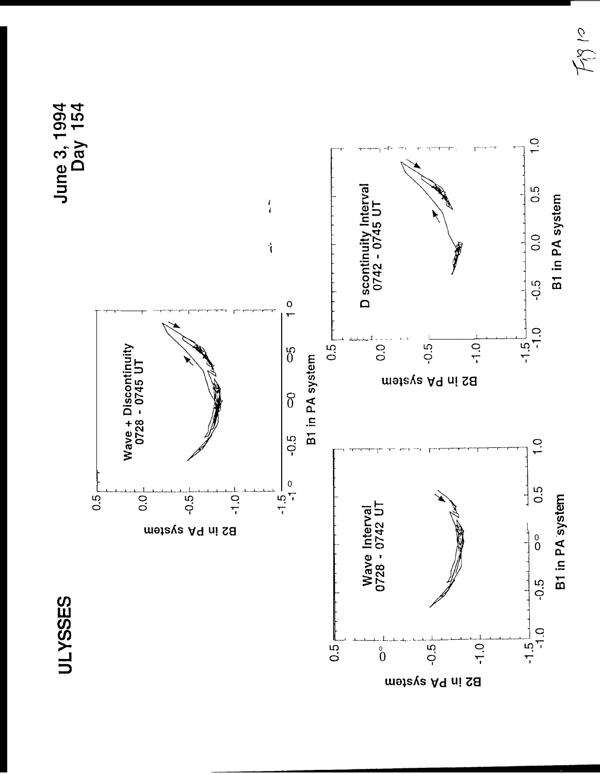





 $F_{\beta}$ 10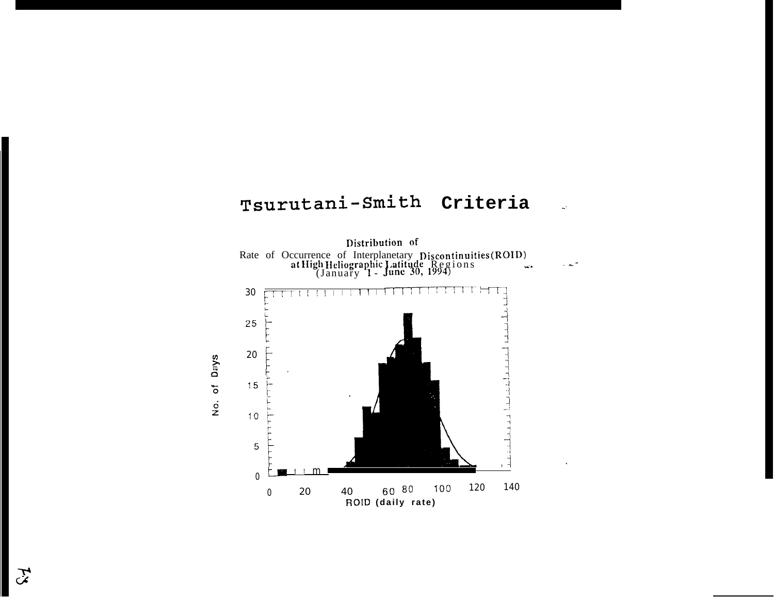# Tsurutani-Smith Criteria

 $\mathbf{L}^{\mathbf{L}}$ 

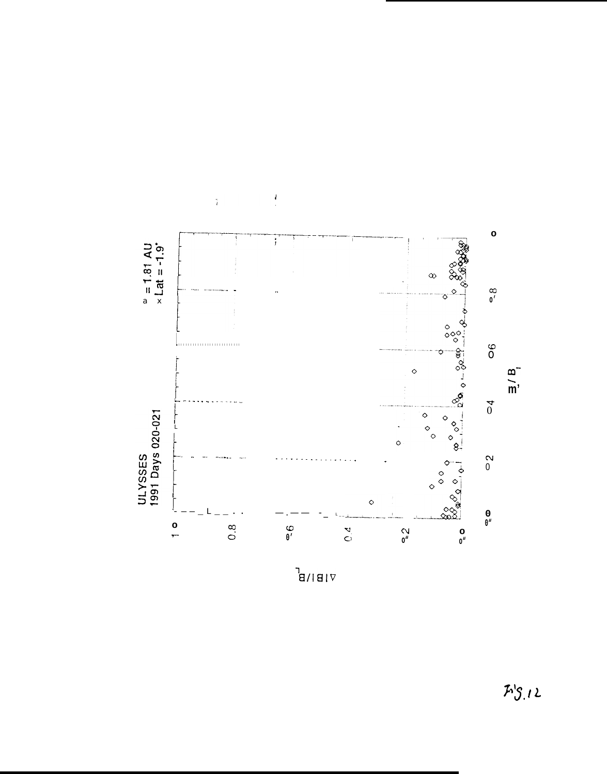

 $\frac{1}{2}$ 

 $\frac{1}{4}$ 

 $\mathbb{E} \setminus \mathsf{B}^{\mathsf{T}}$ 

 $F^{\prime}S_{.}12$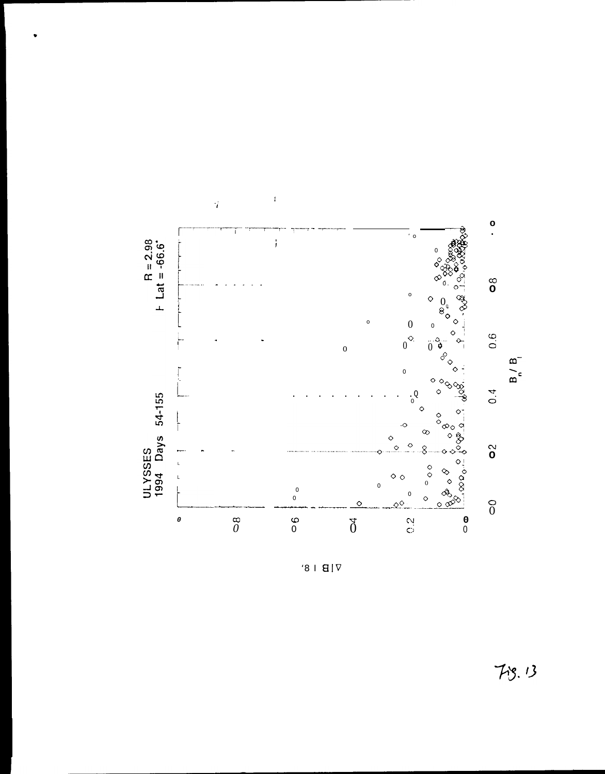

 $91B1V$ 

 $7 - 13$